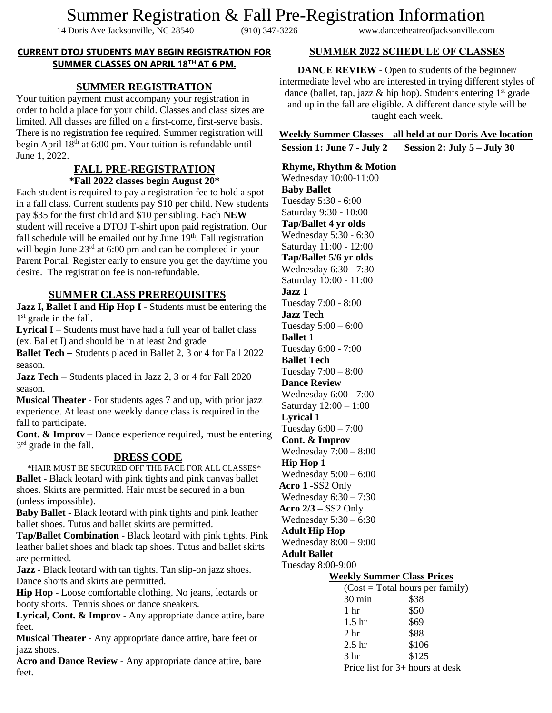# Summer Registration & Fall Pre-Registration Information<br>Doris Ave Jacksonville, NC 28540 (910) 347-3226 www.dancetheatreofiacksonville.com

14 Doris Ave Jacksonville, NC 28540

#### **CURRENT DTOJ STUDENTS MAY BEGIN REGISTRATION FOR SUMMER CLASSES ON APRIL 18TH AT 6 PM.**

# **SUMMER REGISTRATION**

Your tuition payment must accompany your registration in order to hold a place for your child. Classes and class sizes are limited. All classes are filled on a first-come, first-serve basis. There is no registration fee required. Summer registration will begin April 18<sup>th</sup> at 6:00 pm. Your tuition is refundable until June 1, 2022.

#### **FALL PRE-REGISTRATION \*Fall 2022 classes begin August 20\***

Each student is required to pay a registration fee to hold a spot in a fall class. Current students pay \$10 per child. New students pay \$35 for the first child and \$10 per sibling. Each **NEW**  student will receive a DTOJ T-shirt upon paid registration. Our fall schedule will be emailed out by June 19<sup>th</sup>. Fall registration will begin June  $23<sup>rd</sup>$  at 6:00 pm and can be completed in your Parent Portal. Register early to ensure you get the day/time you desire. The registration fee is non-refundable.

## **SUMMER CLASS PREREQUISITES**

**Jazz I, Ballet I and Hip Hop I** - Students must be entering the 1<sup>st</sup> grade in the fall.

**Lyrical I** – Students must have had a full year of ballet class (ex. Ballet I) and should be in at least 2nd grade

**Ballet Tech –** Students placed in Ballet 2, 3 or 4 for Fall 2022 season.

**Jazz Tech –** Students placed in Jazz 2, 3 or 4 for Fall 2020 season.

**Musical Theater** - For students ages 7 and up, with prior jazz experience. At least one weekly dance class is required in the fall to participate.

**Cont. & Improv –** Dance experience required, must be entering 3<sup>rd</sup> grade in the fall.

### **DRESS CODE**

\*HAIR MUST BE SECURED OFF THE FACE FOR ALL CLASSES\* **Ballet** - Black leotard with pink tights and pink canvas ballet shoes. Skirts are permitted. Hair must be secured in a bun (unless impossible).

**Baby Ballet -** Black leotard with pink tights and pink leather ballet shoes. Tutus and ballet skirts are permitted.

**Tap/Ballet Combination** - Black leotard with pink tights. Pink leather ballet shoes and black tap shoes. Tutus and ballet skirts are permitted.

**Jazz** - Black leotard with tan tights. Tan slip-on jazz shoes. Dance shorts and skirts are permitted.

**Hip Hop** - Loose comfortable clothing. No jeans, leotards or booty shorts. Tennis shoes or dance sneakers.

**Lyrical, Cont. & Improv** - Any appropriate dance attire, bare feet.

**Musical Theater -** Any appropriate dance attire, bare feet or jazz shoes.

**Acro and Dance Review** - Any appropriate dance attire, bare feet.

## **SUMMER 2022 SCHEDULE OF CLASSES**

**DANCE REVIEW -** Open to students of the beginner/ intermediate level who are interested in trying different styles of dance (ballet, tap, jazz  $\&$  hip hop). Students entering  $1<sup>st</sup>$  grade and up in the fall are eligible. A different dance style will be taught each week.

**Weekly Summer Classes – all held at our Doris Ave location**

| <b>Session 1: June 7 - July 2</b> | Session 2: July 5 – July 30 |
|-----------------------------------|-----------------------------|
|-----------------------------------|-----------------------------|

 **Rhyme, Rhythm & Motion** Wednesday 10:00-11:00 **Baby Ballet** Tuesday 5:30 - 6:00 Saturday 9:30 - 10:00 **Tap/Ballet 4 yr olds** Wednesday 5:30 - 6:30 Saturday 11:00 - 12:00 **Tap/Ballet 5/6 yr olds** Wednesday 6:30 - 7:30 Saturday 10:00 - 11:00 **Jazz 1** Tuesday 7:00 - 8:00 **Jazz Tech** Tuesday 5:00 – 6:00 **Ballet 1** Tuesday 6:00 - 7:00 **Ballet Tech** Tuesday 7:00 – 8:00 **Dance Review**  Wednesday 6:00 - 7:00 Saturday 12:00 – 1:00 **Lyrical 1**  Tuesday 6:00 – 7:00 **Cont. & Improv**  Wednesday 7:00 – 8:00 **Hip Hop 1**  Wednesday 5:00 – 6:00 **Acro 1 -**SS2 Only Wednesday 6:30 – 7:30 **Acro 2/3 –** SS2 Only Wednesday 5:30 – 6:30 **Adult Hip Hop** Wednesday 8:00 – 9:00 **Adult Ballet**  Tuesday 8:00-9:00 **Weekly Summer Class Prices**  $(Cost = Total hours per family)$ 30 min \$38 1 hr \$50 1.5 hr \$69 2 hr \$88 2.5 hr \$106

3 hr \$125

Price list for 3+ hours at desk